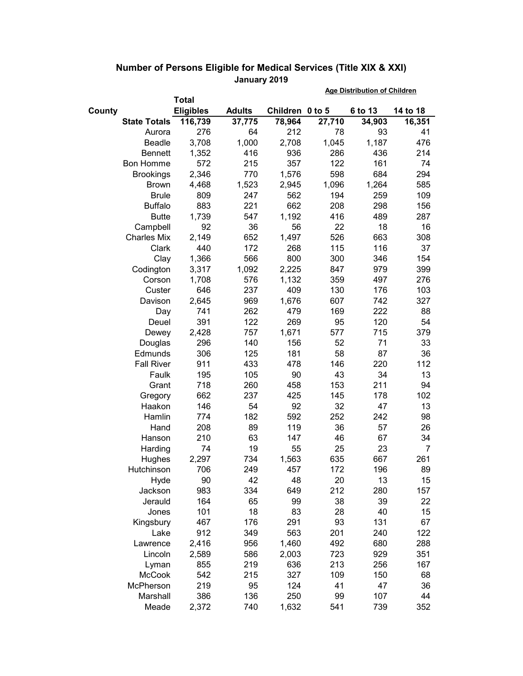|        |                     |                  |               |                 | <b>Age Distribution of Children</b> |         |          |  |
|--------|---------------------|------------------|---------------|-----------------|-------------------------------------|---------|----------|--|
|        | Total               |                  |               |                 |                                     |         |          |  |
| County |                     | <b>Eligibles</b> | <b>Adults</b> | Children 0 to 5 |                                     | 6 to 13 | 14 to 18 |  |
|        | <b>State Totals</b> | 116,739          | 37,775        | 78,964          | 27,710                              | 34,903  | 16,351   |  |
|        | Aurora              | 276              | 64            | 212             | 78                                  | 93      | 41       |  |
|        | Beadle              | 3,708            | 1,000         | 2,708           | 1,045                               | 1,187   | 476      |  |
|        | <b>Bennett</b>      | 1,352            | 416           | 936             | 286                                 | 436     | 214      |  |
|        | <b>Bon Homme</b>    | 572              | 215           | 357             | 122                                 | 161     | 74       |  |
|        | <b>Brookings</b>    | 2,346            | 770           | 1,576           | 598                                 | 684     | 294      |  |
|        | <b>Brown</b>        | 4,468            | 1,523         | 2,945           | 1,096                               | 1,264   | 585      |  |
|        | <b>Brule</b>        | 809              | 247           | 562             | 194                                 | 259     | 109      |  |
|        | <b>Buffalo</b>      | 883              | 221           | 662             | 208                                 | 298     | 156      |  |
|        | <b>Butte</b>        | 1,739            | 547           | 1,192           | 416                                 | 489     | 287      |  |
|        | Campbell            | 92               | 36            | 56              | 22                                  | 18      | 16       |  |
|        | <b>Charles Mix</b>  | 2,149            | 652           | 1,497           | 526                                 | 663     | 308      |  |
|        | Clark               | 440              | 172           | 268             | 115                                 | 116     | 37       |  |
|        | Clay                | 1,366            | 566           | 800             | 300                                 | 346     | 154      |  |
|        | Codington           | 3,317            | 1,092         | 2,225           | 847                                 | 979     | 399      |  |
|        | Corson              | 1,708            | 576           | 1,132           | 359                                 | 497     | 276      |  |
|        | Custer              | 646              | 237           | 409             | 130                                 | 176     | 103      |  |
|        | Davison             | 2,645            | 969           | 1,676           | 607                                 | 742     | 327      |  |
|        | Day                 | 741              | 262           | 479             | 169                                 | 222     | 88       |  |
|        | Deuel               | 391              | 122           | 269             | 95                                  | 120     | 54       |  |
|        | Dewey               | 2,428            | 757           | 1,671           | 577                                 | 715     | 379      |  |
|        | Douglas             | 296              | 140           | 156             | 52                                  | 71      | 33       |  |
|        | Edmunds             | 306              | 125           | 181             | 58                                  | 87      | 36       |  |
|        | <b>Fall River</b>   | 911              | 433           | 478             | 146                                 | 220     | 112      |  |
|        | Faulk               | 195              | 105           | 90              | 43                                  | 34      | 13       |  |
|        | Grant               | 718              | 260           | 458             | 153                                 | 211     | 94       |  |
|        | Gregory             | 662              | 237           | 425             | 145                                 | 178     | 102      |  |
|        | Haakon              | 146              | 54            | 92              | 32                                  | 47      | 13       |  |
|        | Hamlin              | 774              | 182           | 592             | 252                                 | 242     | 98       |  |
|        | Hand                | 208              | 89            | 119             | 36                                  | 57      | 26       |  |
|        | Hanson              | 210              | 63            | 147             | 46                                  | 67      | 34       |  |
|        | Harding             | 74               | 19            | 55              | 25                                  | 23      | 7        |  |
|        | Hughes              | 2,297            | 734           | 1,563           | 635                                 | 667     | 261      |  |
|        | Hutchinson          | 706              | 249           | 457             | 172                                 | 196     | 89       |  |
|        | Hyde                | 90               | 42            | 48              | 20                                  | 13      | 15       |  |
|        | Jackson             | 983              | 334           | 649             | 212                                 | 280     | 157      |  |
|        | Jerauld             | 164              | 65            | 99              | 38                                  | 39      | 22       |  |
|        | Jones               | 101              | 18            | 83              | 28                                  | 40      | 15       |  |
|        | Kingsbury           | 467              | 176           | 291             | 93                                  | 131     | 67       |  |
|        | Lake                | 912              | 349           | 563             | 201                                 | 240     | 122      |  |
|        | Lawrence            | 2,416            | 956           | 1,460           | 492                                 | 680     | 288      |  |
|        | Lincoln             | 2,589            | 586           | 2,003           | 723                                 | 929     | 351      |  |
|        | Lyman               | 855              | 219           | 636             | 213                                 | 256     | 167      |  |
|        | <b>McCook</b>       | 542              | 215           | 327             | 109                                 | 150     | 68       |  |
|        | McPherson           | 219              | 95            | 124             | 41                                  | 47      | 36       |  |
|        | Marshall            | 386              | 136           | 250             | 99                                  | 107     | 44       |  |
|        | Meade               | 2,372            | 740           | 1,632           | 541                                 | 739     | 352      |  |

## **Number of Persons Eligible for Medical Services (Title XIX & XXI) January 2019**